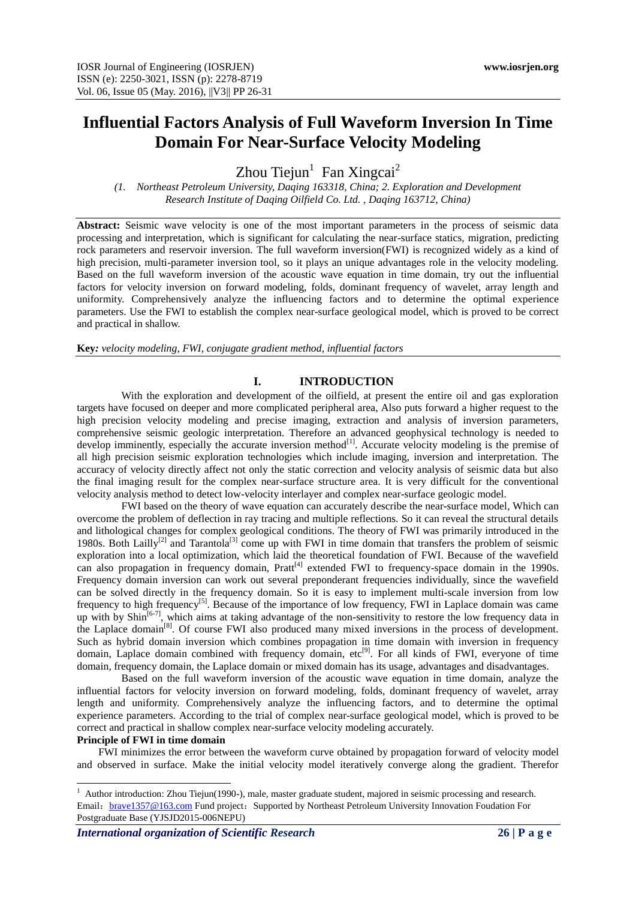# **Influential Factors Analysis of Full Waveform Inversion In Time Domain For Near-Surface Velocity Modeling**

 $Z$ hou Tiejun<sup>1</sup> Fan Xingcai<sup>2</sup>

*(1. Northeast Petroleum University, Daqing 163318, China; 2. Exploration and Development Research Institute of Daqing Oilfield Co. Ltd. , Daqing 163712, China)*

**Abstract:** Seismic wave velocity is one of the most important parameters in the process of seismic data processing and interpretation, which is significant for calculating the near-surface statics, migration, predicting rock parameters and reservoir inversion. The full waveform inversion(FWI) is recognized widely as a kind of high precision, multi-parameter inversion tool, so it plays an unique advantages role in the velocity modeling. Based on the full waveform inversion of the acoustic wave equation in time domain, try out the influential factors for velocity inversion on forward modeling, folds, dominant frequency of wavelet, array length and uniformity. Comprehensively analyze the influencing factors and to determine the optimal experience parameters. Use the FWI to establish the complex near-surface geological model, which is proved to be correct and practical in shallow.

**Key***: velocity modeling, FWI, conjugate gradient method, influential factors*

## **I. INTRODUCTION**

With the exploration and development of the oilfield, at present the entire oil and gas exploration targets have focused on deeper and more complicated peripheral area, Also puts forward a higher request to the high precision velocity modeling and precise imaging, extraction and analysis of inversion parameters, comprehensive seismic geologic interpretation. Therefore an advanced geophysical technology is needed to develop imminently, especially the accurate inversion method<sup>[1]</sup>. Accurate velocity modeling is the premise of all high precision seismic exploration technologies which include imaging, inversion and interpretation. The accuracy of velocity directly affect not only the static correction and velocity analysis of seismic data but also the final imaging result for the complex near-surface structure area. It is very difficult for the conventional velocity analysis method to detect low-velocity interlayer and complex near-surface geologic model.

FWI based on the theory of wave equation can accurately describe the near-surface model, Which can overcome the problem of deflection in ray tracing and multiple reflections. So it can reveal the structural details and lithological changes for complex geological conditions. The theory of FWI was primarily introduced in the 1980s. Both Lailly<sup>[2]</sup> and Tarantola<sup>[3]</sup> come up with FWI in time domain that transfers the problem of seismic exploration into a local optimization, which laid the theoretical foundation of FWI. Because of the wavefield can also propagation in frequency domain,  $Prat^{[4]}$  extended FWI to frequency-space domain in the 1990s. Frequency domain inversion can work out several preponderant frequencies individually, since the wavefield can be solved directly in the frequency domain. So it is easy to implement multi-scale inversion from low frequency to high frequency[5]. Because of the importance of low frequency, FWI in Laplace domain was came up with by  $\sinh^{6-7}$ , which aims at taking advantage of the non-sensitivity to restore the low frequency data in the Laplace domain<sup>[8]</sup>. Of course FWI also produced many mixed inversions in the process of development. Such as hybrid domain inversion which combines propagation in time domain with inversion in frequency domain, Laplace domain combined with frequency domain, etc<sup>[9]</sup>. For all kinds of FWI, everyone of time domain, frequency domain, the Laplace domain or mixed domain has its usage, advantages and disadvantages.

Based on the full waveform inversion of the acoustic wave equation in time domain, analyze the influential factors for velocity inversion on forward modeling, folds, dominant frequency of wavelet, array length and uniformity. Comprehensively analyze the influencing factors, and to determine the optimal experience parameters. According to the trial of complex near-surface geological model, which is proved to be correct and practical in shallow complex near-surface velocity modeling accurately.

#### **Principle of FWI in time domain**

-

FWI minimizes the error between the waveform curve obtained by propagation forward of velocity model and observed in surface. Make the initial velocity model iteratively converge along the gradient. Therefor

<sup>&</sup>lt;sup>1</sup> Author introduction: Zhou Tiejun(1990-), male, master graduate student, majored in seismic processing and research. Email: [brave1357@163.com](mailto:brave1357@163.com) Fund project: Supported by Northeast Petroleum University Innovation Foudation For Postgraduate Base (YJSJD2015-006NEPU)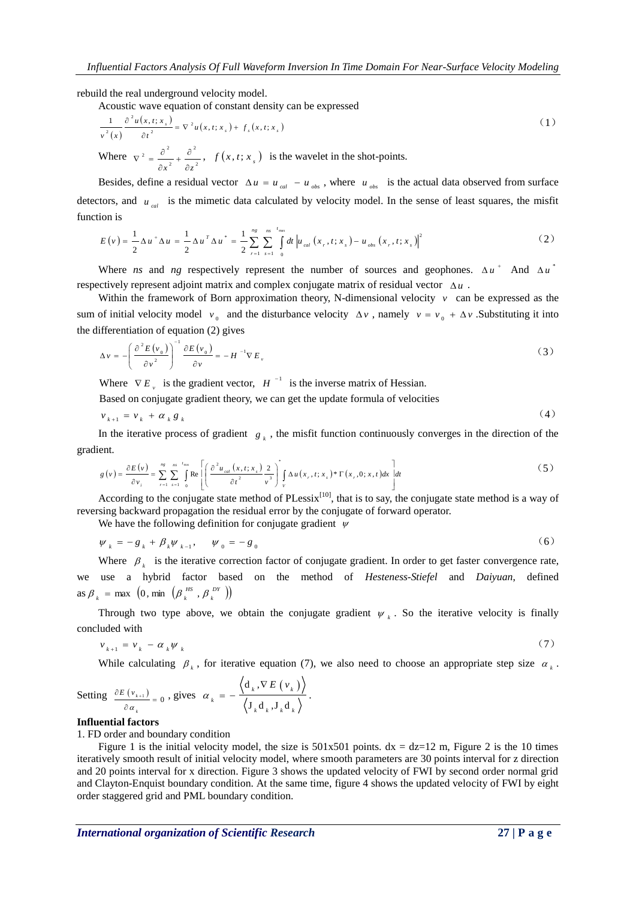rebuild the real underground velocity model.

Acoustic wave equation of constant density can be expressed

$$
\frac{1}{v^2(x)} \frac{\partial^2 u(x, t; x_s)}{\partial t^2} = \nabla^2 u(x, t; x_s) + f_s(x, t; x_s)
$$
\n(1)  
\nWhere  $\nabla^2 = \frac{\partial^2}{\partial x^2} + \frac{\partial^2}{\partial z^2}$ ,  $f(x, t; x_s)$  is the wavelet in the shot-points.

Besides, define a residual vector  $\Delta u = u_{cal} - u_{obs}$ , where  $u_{obs}$  is the actual data observed from surface detectors, and  $u_{cal}$  is the mimetic data calculated by velocity model. In the sense of least squares, the misfit function is

$$
E(v) = \frac{1}{2} \Delta u^{+} \Delta u = \frac{1}{2} \Delta u^{T} \Delta u^{*} = \frac{1}{2} \sum_{r=1}^{n_{g}} \sum_{s=1}^{ns} \int_{0}^{t_{\text{max}}} dt \left| u_{cal}(x_{r}, t; x_{s}) - u_{obs}(x_{r}, t; x_{s}) \right|^{2}
$$
(2)

Where *ns* and *ng* respectively represent the number of sources and geophones.  $\Delta u^+$  And  $\Delta u^+$ respectively represent adjoint matrix and complex conjugate matrix of residual vector  $\Delta u$ .

Within the framework of Born approximation theory, N-dimensional velocity  $\nu$  can be expressed as the sum of initial velocity model  $v_0$  and the disturbance velocity  $\Delta v$ , namely  $v = v_0 + \Delta v$ . Substituting it into the differentiation of equation (2) gives

$$
\Delta v = -\left(\frac{\partial^2 E(v_0)}{\partial v^2}\right)^{-1} \frac{\partial E(v_0)}{\partial v} = -H^{-1} \nabla E_v
$$
\n(3)

Where  $\nabla E$ <sub>y</sub> is the gradient vector,  $H^{-1}$  is the inverse matrix of Hessian.

Based on conjugate gradient theory, we can get the update formula of velocities

$$
v_{k+1} = v_k + \alpha_k g_k \tag{4}
$$

In the iterative process of gradient  $g_k$ , the misfit function continuously converges in the direction of the gradient.

ent.  
\n
$$
g(v) = \frac{\partial E(v)}{\partial v_i} = \sum_{r=1}^{ng} \sum_{s=1}^{ns} \int_{0}^{r_{\text{max}}} \text{Re} \left[ \left( \frac{\partial^2 u_{col}(x, t; x_s)}{\partial t^2} \frac{2}{v^3} \right)^s \int_{V} \Delta u(x_r, t; x_s)^* \Gamma(x_r, 0; x, t) dx \right] dt
$$
\n(5)

According to the conjugate state method of  $PLessix^{[10]}$ , that is to say, the conjugate state method is a way of reversing backward propagation the residual error by the conjugate of forward operator.

We have the following definition for conjugate gradient  $\psi$ 

$$
\psi_k = -g_k + \beta_k \psi_{k-1}, \quad \psi_0 = -g_0 \tag{6}
$$

Where  $\beta_k$  is the iterative correction factor of conjugate gradient. In order to get faster convergence rate, we use a hybrid factor based on the method of *Hesteness-Stiefel* and *Daiyuan*, defined as  $\beta_k = \max \left(0, \min \left(\beta_k^{HS}, \beta_k^{DY}\right)\right)$ *k HS*  $\beta_k = \max \left(0, \min \left(\beta_k^{\{B\}}\right), \beta\right)$ 

Through two type above, we obtain the conjugate gradient  $\psi_k$ . So the iterative velocity is finally concluded with

$$
v_{k+1} = v_k - \alpha_k \psi_k \tag{7}
$$

While calculating  $\beta_k$ , for iterative equation (7), we also need to choose an appropriate step size  $\alpha_k$ .

Setting 
$$
\frac{\partial E(v_{k+1})}{\partial \alpha_k} = 0
$$
, gives  $\alpha_k = -\frac{\langle d_k, \nabla E(v_k) \rangle}{\langle J_k d_k, J_k d_k \rangle}$ .

#### **Influential factors**

1. FD order and boundary condition

Figure 1 is the initial velocity model, the size is  $501x501$  points.  $dx = dz = 12$  m, Figure 2 is the 10 times iteratively smooth result of initial velocity model, where smooth parameters are 30 points interval for z direction and 20 points interval for x direction. Figure 3 shows the updated velocity of FWI by second order normal grid and Clayton-Enquist boundary condition. At the same time, figure 4 shows the updated velocity of FWI by eight order staggered grid and PML boundary condition.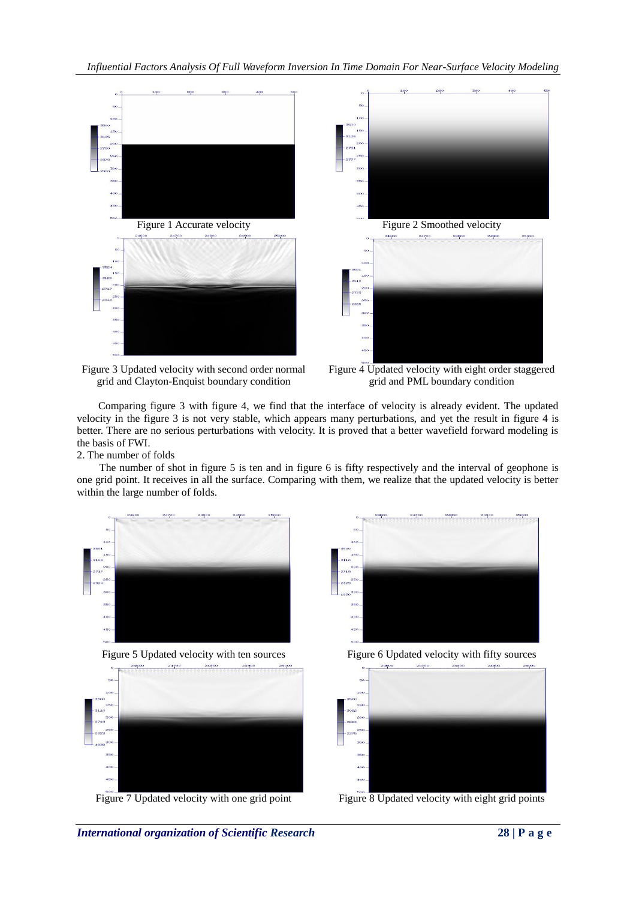



Figure 3 Updated velocity with second order normal grid and Clayton-Enquist boundary condition

Figure 4 Updated velocity with eight order staggered grid and PML boundary condition

Comparing figure 3 with figure 4, we find that the interface of velocity is already evident. The updated velocity in the figure 3 is not very stable, which appears many perturbations, and yet the result in figure 4 is better. There are no serious perturbations with velocity. It is proved that a better wavefield forward modeling is the basis of FWI.

2. The number of folds

The number of shot in figure 5 is ten and in figure 6 is fifty respectively and the interval of geophone is one grid point. It receives in all the surface. Comparing with them, we realize that the updated velocity is better within the large number of folds.









Figure 7 Updated velocity with one grid point Figure 8 Updated velocity with eight grid points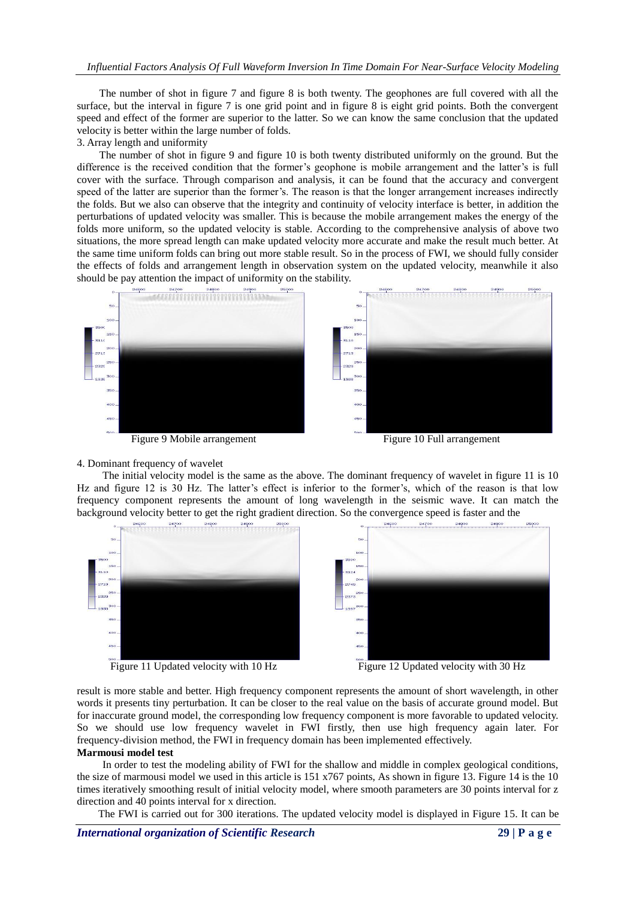#### *Influential Factors Analysis Of Full Waveform Inversion In Time Domain For Near-Surface Velocity Modeling*

The number of shot in figure 7 and figure 8 is both twenty. The geophones are full covered with all the surface, but the interval in figure 7 is one grid point and in figure 8 is eight grid points. Both the convergent speed and effect of the former are superior to the latter. So we can know the same conclusion that the updated velocity is better within the large number of folds.

3. Array length and uniformity

The number of shot in figure 9 and figure 10 is both twenty distributed uniformly on the ground. But the difference is the received condition that the former's geophone is mobile arrangement and the latter's is full cover with the surface. Through comparison and analysis, it can be found that the accuracy and convergent speed of the latter are superior than the former's. The reason is that the longer arrangement increases indirectly the folds. But we also can observe that the integrity and continuity of velocity interface is better, in addition the perturbations of updated velocity was smaller. This is because the mobile arrangement makes the energy of the folds more uniform, so the updated velocity is stable. According to the comprehensive analysis of above two situations, the more spread length can make updated velocity more accurate and make the result much better. At the same time uniform folds can bring out more stable result. So in the process of FWI, we should fully consider the effects of folds and arrangement length in observation system on the updated velocity, meanwhile it also should be pay attention the impact of uniformity on the stability.



Figure 9 Mobile arrangement Figure 10 Full arrangement

#### 4. Dominant frequency of wavelet

The initial velocity model is the same as the above. The dominant frequency of wavelet in figure 11 is 10 Hz and figure 12 is 30 Hz. The latter's effect is inferior to the former's, which of the reason is that low frequency component represents the amount of long wavelength in the seismic wave. It can match the background velocity better to get the right gradient direction. So the convergence speed is faster and the



result is more stable and better. High frequency component represents the amount of short wavelength, in other words it presents tiny perturbation. It can be closer to the real value on the basis of accurate ground model. But for inaccurate ground model, the corresponding low frequency component is more favorable to updated velocity. So we should use low frequency wavelet in FWI firstly, then use high frequency again later. For frequency-division method, the FWI in frequency domain has been implemented effectively.

## **Marmousi model test**

In order to test the modeling ability of FWI for the shallow and middle in complex geological conditions, the size of marmousi model we used in this article is 151 x767 points, As shown in figure 13. Figure 14 is the 10 times iteratively smoothing result of initial velocity model, where smooth parameters are 30 points interval for z direction and 40 points interval for x direction.

The FWI is carried out for 300 iterations. The updated velocity model is displayed in Figure 15. It can be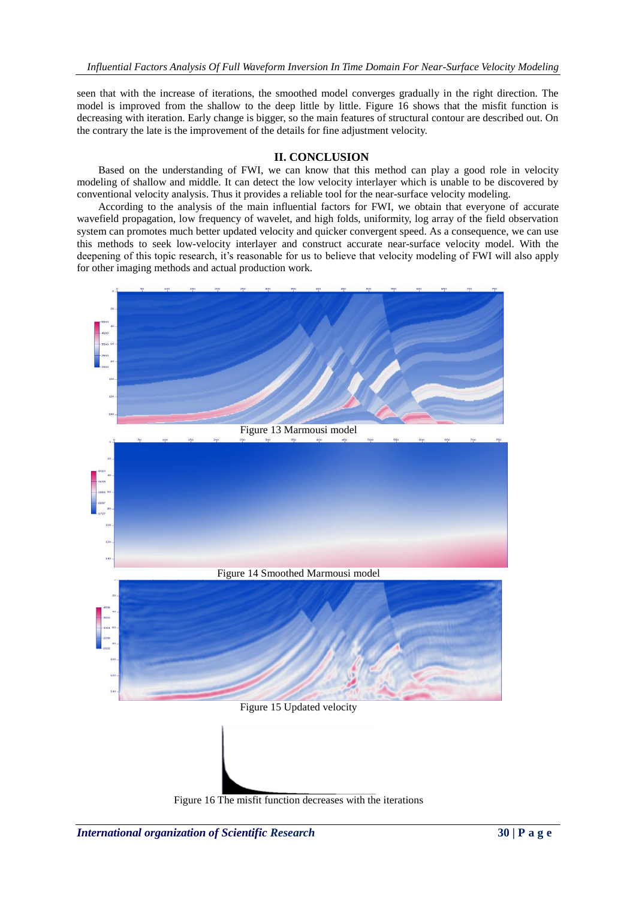seen that with the increase of iterations, the smoothed model converges gradually in the right direction. The model is improved from the shallow to the deep little by little. Figure 16 shows that the misfit function is decreasing with iteration. Early change is bigger, so the main features of structural contour are described out. On the contrary the late is the improvement of the details for fine adjustment velocity.

### **II. CONCLUSION**

Based on the understanding of FWI, we can know that this method can play a good role in velocity modeling of shallow and middle. It can detect the low velocity interlayer which is unable to be discovered by conventional velocity analysis. Thus it provides a reliable tool for the near-surface velocity modeling.

According to the analysis of the main influential factors for FWI, we obtain that everyone of accurate wavefield propagation, low frequency of wavelet, and high folds, uniformity, log array of the field observation system can promotes much better updated velocity and quicker convergent speed. As a consequence, we can use this methods to seek low-velocity interlayer and construct accurate near-surface velocity model. With the deepening of this topic research, it's reasonable for us to believe that velocity modeling of FWI will also apply for other imaging methods and actual production work.



Figure 16 The misfit function decreases with the iterations